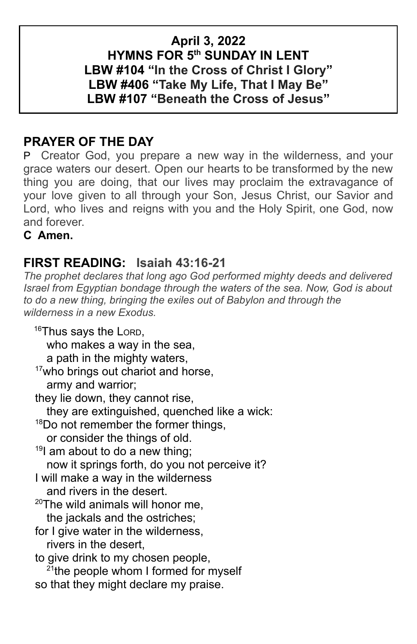## **April 3, 2022 HYMNS FOR 5th SUNDAY IN LENT LBW #104 "In the Cross of Christ I Glory" LBW #406 "Take My Life, That I May Be" LBW #107 "Beneath the Cross of Jesus"**

# **PRAYER OF THE DAY**

P Creator God, you prepare a new way in the wilderness, and your grace waters our desert. Open our hearts to be transformed by the new thing you are doing, that our lives may proclaim the extravagance of your love given to all through your Son, Jesus Christ, our Savior and Lord, who lives and reigns with you and the Holy Spirit, one God, now and forever.

**C Amen.**

# **FIRST READING: Isaiah 43:16-21**

*The prophet declares that long ago God performed mighty deeds and delivered Israel from Egyptian bondage through the waters of the sea. Now, God is about to do a new thing, bringing the exiles out of Babylon and through the wilderness in a new Exodus.*

16Thus says the LORD, who makes a way in the sea, a path in the mighty waters, <sup>17</sup>who brings out chariot and horse, army and warrior; they lie down, they cannot rise, they are extinguished, quenched like a wick: <sup>18</sup>Do not remember the former things, or consider the things of old.  $19$  am about to do a new thing; now it springs forth, do you not perceive it? I will make a way in the wilderness and rivers in the desert.  $20$ The wild animals will honor me. the jackals and the ostriches; for I give water in the wilderness, rivers in the desert, to give drink to my chosen people, <sup>21</sup>the people whom I formed for myself so that they might declare my praise.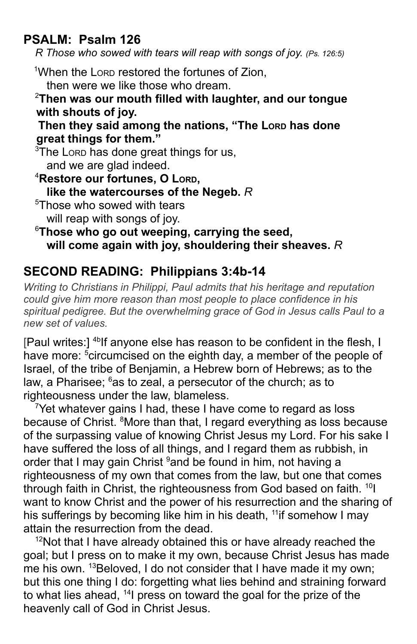# **PSALM: Psalm 126**

*R Those who sowed with tears will reap with songs of joy. (Ps. 126:5)*

<sup>1</sup>When the Lorp restored the fortunes of Zion,

then were we like those who dream.

#### <sup>2</sup>**Then was our mouth filled with laughter, and our tongue with shouts of joy.**

#### **Then they said among the nations, "The LORD has done great things for them."**

<sup>3</sup>The Lorp has done great things for us, and we are glad indeed.

<sup>4</sup>**Restore our fortunes, O LORD, like the watercourses of the Negeb.** *R* <sup>5</sup>Those who sowed with tears will reap with songs of joy.

### <sup>6</sup>**Those who go out weeping, carrying the seed, will come again with joy, shouldering their sheaves.** *R*

# **SECOND READING: Philippians 3:4b-14**

*Writing to Christians in Philippi, Paul admits that his heritage and reputation could give him more reason than most people to place confidence in his spiritual pedigree. But the overwhelming grace of God in Jesus calls Paul to a new set of values.*

[Paul writes:] <sup>4b</sup>lf anyone else has reason to be confident in the flesh, I have more: <sup>5</sup>circumcised on the eighth day, a member of the people of Israel, of the tribe of Benjamin, a Hebrew born of Hebrews; as to the law, a Pharisee; <sup>6</sup>as to zeal, a persecutor of the church; as to righteousness under the law, blameless.

 $7$ Yet whatever gains I had, these I have come to regard as loss because of Christ. <sup>8</sup>More than that, I regard everything as loss because of the surpassing value of knowing Christ Jesus my Lord. For his sake I have suffered the loss of all things, and I regard them as rubbish, in order that I may gain Christ <sup>9</sup>and be found in him, not having a righteousness of my own that comes from the law, but one that comes through faith in Christ, the righteousness from God based on faith. <sup>10</sup>I want to know Christ and the power of his resurrection and the sharing of his sufferings by becoming like him in his death, <sup>11</sup>if somehow I may attain the resurrection from the dead.

 $12$ Not that I have already obtained this or have already reached the goal; but I press on to make it my own, because Christ Jesus has made me his own. <sup>13</sup>Beloved, I do not consider that I have made it my own; but this one thing I do: forgetting what lies behind and straining forward to what lies ahead, <sup>14</sup>l press on toward the goal for the prize of the heavenly call of God in Christ Jesus.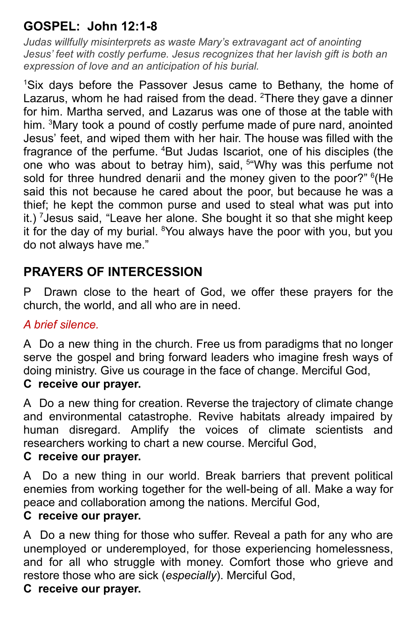# **GOSPEL: John 12:1-8**

*Judas willfully misinterprets as waste Mary's extravagant act of anointing Jesus' feet with costly perfume. Jesus recognizes that her lavish gift is both an expression of love and an anticipation of his burial.*

<sup>1</sup>Six days before the Passover Jesus came to Bethany, the home of Lazarus, whom he had raised from the dead.  $2$ There they gave a dinner for him. Martha served, and Lazarus was one of those at the table with him. <sup>3</sup>Mary took a pound of costly perfume made of pure nard, anointed Jesus' feet, and wiped them with her hair. The house was filled with the fragrance of the perfume. <sup>4</sup>But Judas Iscariot, one of his disciples (the one who was about to betray him), said, <sup>5"</sup>Why was this perfume not sold for three hundred denarii and the money given to the poor?" <sup>6</sup>(He said this not because he cared about the poor, but because he was a thief; he kept the common purse and used to steal what was put into it.) <sup>7</sup>Jesus said, "Leave her alone. She bought it so that she might keep it for the day of my burial. <sup>8</sup>You always have the poor with you, but you do not always have me."

# **PRAYERS OF INTERCESSION**

P Drawn close to the heart of God, we offer these prayers for the church, the world, and all who are in need.

#### *A brief silence.*

A Do a new thing in the church. Free us from paradigms that no longer serve the gospel and bring forward leaders who imagine fresh ways of doing ministry. Give us courage in the face of change. Merciful God,

## **C receive our prayer.**

A Do a new thing for creation. Reverse the trajectory of climate change and environmental catastrophe. Revive habitats already impaired by human disregard. Amplify the voices of climate scientists and researchers working to chart a new course. Merciful God,

## **C receive our prayer.**

A Do a new thing in our world. Break barriers that prevent political enemies from working together for the well-being of all. Make a way for peace and collaboration among the nations. Merciful God,

#### **C receive our prayer.**

A Do a new thing for those who suffer. Reveal a path for any who are unemployed or underemployed, for those experiencing homelessness, and for all who struggle with money. Comfort those who grieve and restore those who are sick (*especially*). Merciful God,

### **C receive our prayer.**